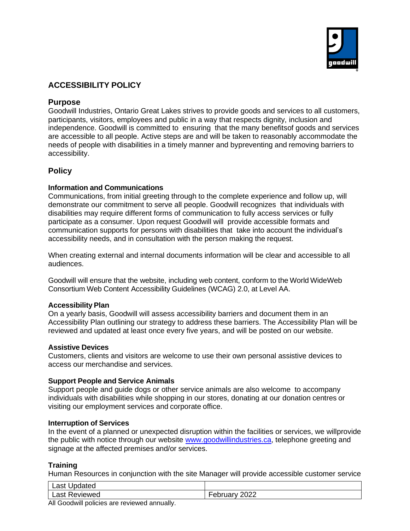

# **ACCESSIBILITY POLICY**

## **Purpose**

Goodwill Industries, Ontario Great Lakes strives to provide goods and services to all customers, participants, visitors, employees and public in a way that respects dignity, inclusion and independence. Goodwill is committed to ensuring that the many benefitsof goods and services are accessible to all people. Active steps are and will be taken to reasonably accommodate the needs of people with disabilities in a timely manner and bypreventing and removing barriers to accessibility.

# **Policy**

## **Information and Communications**

Communications, from initial greeting through to the complete experience and follow up, will demonstrate our commitment to serve all people. Goodwill recognizes that individuals with disabilities may require different forms of communication to fully access services or fully participate as a consumer. Upon request Goodwill will provide accessible formats and communication supports for persons with disabilities that take into account the individual's accessibility needs, and in consultation with the person making the request.

When creating external and internal documents information will be clear and accessible to all audiences.

Goodwill will ensure that the website, including web content, conform to the World WideWeb Consortium Web Content Accessibility Guidelines (WCAG) 2.0, at Level AA.

#### **Accessibility Plan**

On a yearly basis, Goodwill will assess accessibility barriers and document them in an Accessibility Plan outlining our strategy to address these barriers. The Accessibility Plan will be reviewed and updated at least once every five years, and will be posted on our website.

#### **Assistive Devices**

Customers, clients and visitors are welcome to use their own personal assistive devices to access our merchandise and services.

#### **Support People and Service Animals**

Support people and guide dogs or other service animals are also welcome to accompany individuals with disabilities while shopping in our stores, donating at our donation centres or visiting our employment services and corporate office.

#### **Interruption of Services**

In the event of a planned or unexpected disruption within the facilities or services, we willprovide the public with notice through our website [www.goodwillindustries.ca,](http://www.goodwillindustries.ca/) telephone greeting and signage at the affected premises and/or services.

#### **Training**

Human Resources in conjunction with the site Manager will provide accessible customer service

| Last<br>Ipdated                                                                            |                                |
|--------------------------------------------------------------------------------------------|--------------------------------|
| Last Reviewed                                                                              | noon<br>2022<br>- 0.<br>⊶ublu⊎ |
| $\mathbf{A} \cup \mathbf{A}$ , $\mathbf{A} \cup \mathbf{A}$ , $\mathbf{A} \cup \mathbf{A}$ |                                |

All Goodwill policies are reviewed annually.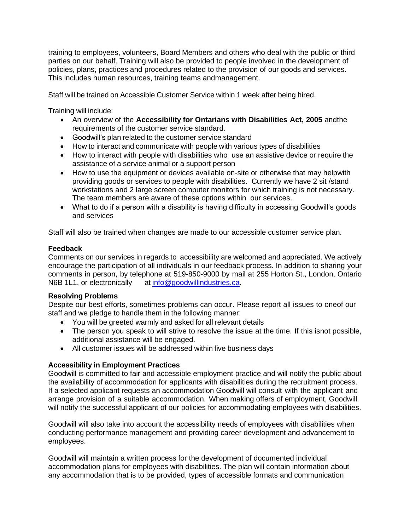training to employees, volunteers, Board Members and others who deal with the public or third parties on our behalf. Training will also be provided to people involved in the development of policies, plans, practices and procedures related to the provision of our goods and services. This includes human resources, training teams andmanagement.

Staff will be trained on Accessible Customer Service within 1 week after being hired.

Training will include:

- An overview of the **Accessibility for Ontarians with Disabilities Act, 2005** andthe requirements of the customer service standard.
- Goodwill's plan related to the customer service standard
- How to interact and communicate with people with various types of disabilities
- How to interact with people with disabilities who use an assistive device or require the assistance of a service animal or a support person
- How to use the equipment or devices available on-site or otherwise that may helpwith providing goods or services to people with disabilities. Currently we have 2 sit /stand workstations and 2 large screen computer monitors for which training is not necessary. The team members are aware of these options within our services.
- What to do if a person with a disability is having difficulty in accessing Goodwill's goods and services

Staff will also be trained when changes are made to our accessible customer service plan.

#### **Feedback**

Comments on our services in regards to accessibility are welcomed and appreciated. We actively encourage the participation of all individuals in our feedback process. In addition to sharing your comments in person, by telephone at 519-850-9000 by mail at 255 Horton St., London, Ontario N6B 1L1, or electronically at [info@goodwillindustries.ca.](mailto:info@goodwillindustries.ca)

#### **Resolving Problems**

Despite our best efforts, sometimes problems can occur. Please report all issues to oneof our staff and we pledge to handle them in the following manner:

- You will be greeted warmly and asked for all relevant details
- The person you speak to will strive to resolve the issue at the time. If this isnot possible, additional assistance will be engaged.
- All customer issues will be addressed within five business days

#### **Accessibility in Employment Practices**

Goodwill is committed to fair and accessible employment practice and will notify the public about the availability of accommodation for applicants with disabilities during the recruitment process. If a selected applicant requests an accommodation Goodwill will consult with the applicant and arrange provision of a suitable accommodation. When making offers of employment, Goodwill will notify the successful applicant of our policies for accommodating employees with disabilities.

Goodwill will also take into account the accessibility needs of employees with disabilities when conducting performance management and providing career development and advancement to employees.

Goodwill will maintain a written process for the development of documented individual accommodation plans for employees with disabilities. The plan will contain information about any accommodation that is to be provided, types of accessible formats and communication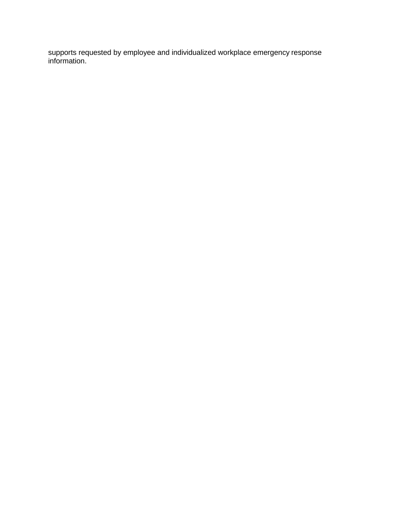supports requested by employee and individualized workplace emergency response information.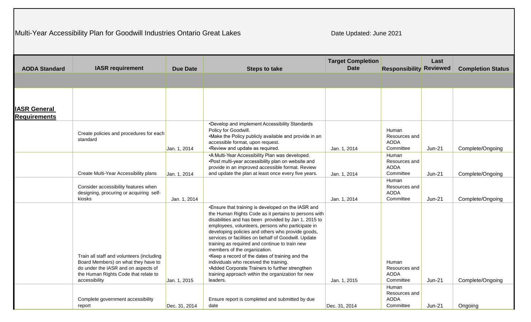# Multi-Year Accessibility Plan for Goodwill Industries Ontario Great Lakes

Date Updated: June 2021

|                      |                                                                                                                                                                                  |                 |                                                                                                                                                                                                                                                                                                                                                                                                                                                                                                                                                                                                                                            | <b>Target Completion</b> |                                                    | Last          |                          |
|----------------------|----------------------------------------------------------------------------------------------------------------------------------------------------------------------------------|-----------------|--------------------------------------------------------------------------------------------------------------------------------------------------------------------------------------------------------------------------------------------------------------------------------------------------------------------------------------------------------------------------------------------------------------------------------------------------------------------------------------------------------------------------------------------------------------------------------------------------------------------------------------------|--------------------------|----------------------------------------------------|---------------|--------------------------|
| <b>AODA Standard</b> | <b>IASR requirement</b>                                                                                                                                                          | <b>Due Date</b> | <b>Steps to take</b>                                                                                                                                                                                                                                                                                                                                                                                                                                                                                                                                                                                                                       | <b>Date</b>              | <b>Responsibility Reviewed</b>                     |               | <b>Completion Status</b> |
|                      |                                                                                                                                                                                  |                 |                                                                                                                                                                                                                                                                                                                                                                                                                                                                                                                                                                                                                                            |                          |                                                    |               |                          |
|                      |                                                                                                                                                                                  |                 |                                                                                                                                                                                                                                                                                                                                                                                                                                                                                                                                                                                                                                            |                          |                                                    |               |                          |
|                      |                                                                                                                                                                                  |                 |                                                                                                                                                                                                                                                                                                                                                                                                                                                                                                                                                                                                                                            |                          |                                                    |               |                          |
| <b>IASR General</b>  |                                                                                                                                                                                  |                 |                                                                                                                                                                                                                                                                                                                                                                                                                                                                                                                                                                                                                                            |                          |                                                    |               |                          |
| <b>Requirements</b>  |                                                                                                                                                                                  |                 |                                                                                                                                                                                                                                                                                                                                                                                                                                                                                                                                                                                                                                            |                          |                                                    |               |                          |
|                      | Create policies and procedures for each<br>standard                                                                                                                              | Jan. 1, 2014    | •Develop and implement Accessibility Standards<br>Policy for Goodwill.<br>•Make the Policy publicly available and provide in an<br>accessible format, upon request.<br>. Review and update as required.                                                                                                                                                                                                                                                                                                                                                                                                                                    | Jan. 1, 2014             | Human<br>Resources and<br><b>AODA</b><br>Committee | <b>Jun-21</b> | Complete/Ongoing         |
|                      | Create Multi-Year Accessibility plans                                                                                                                                            | Jan. 1, 2014    | • A Multi-Year Accessibility Plan was developed.<br>. Post multi-year accessibility plan on website and<br>provide in an improved accessible format. Review<br>and update the plan at least once every five years.                                                                                                                                                                                                                                                                                                                                                                                                                         | Jan. 1, 2014             | Human<br>Resources and<br><b>AODA</b><br>Committee | $Jun-21$      | Complete/Ongoing         |
|                      | Consider accessibility features when<br>designing, procuring or acquiring self-<br>kiosks                                                                                        | Jan. 1, 2014    |                                                                                                                                                                                                                                                                                                                                                                                                                                                                                                                                                                                                                                            | Jan. 1, 2014             | Human<br>Resources and<br><b>AODA</b><br>Committee | <b>Jun-21</b> | Complete/Ongoing         |
|                      | Train all staff and volunteers (including<br>Board Members) on what they have to<br>do under the IASR and on aspects of<br>the Human Rights Code that relate to<br>accessibility | Jan. 1, 2015    | . Ensure that training is developed on the IASR and<br>the Human Rights Code as it pertains to persons with<br>disabilities and has been provided by Jan 1, 2015 to<br>employees, volunteers, persons who participate in<br>developing policies and others who provide goods,<br>services or facilities on behalf of Goodwill. Update<br>training as required and continue to train new<br>members of the organization.<br>. Keep a record of the dates of training and the<br>individuals who received the training.<br>• Added Corporate Trainers to further strengthen<br>training approach within the organization for new<br>leaders. | Jan. 1, 2015             | Human<br>Resources and<br><b>AODA</b><br>Committee | Jun-21        | Complete/Ongoing         |
|                      | Complete government accessibility<br>report                                                                                                                                      | Dec. 31, 2014   | Ensure report is completed and submitted by due<br>date                                                                                                                                                                                                                                                                                                                                                                                                                                                                                                                                                                                    | Dec. 31, 2014            | Human<br>Resources and<br><b>AODA</b><br>Committee | $Jun-21$      | Ongoing                  |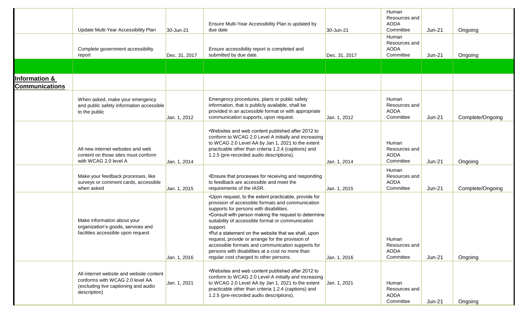|                                        | Update Multi-Year Accessibility Plan                                                                                                | 30-Jun-21     | Ensure Multi-Year Accessibility Plan is updated by<br>due date                                                                                                                                                                                                                                                                                                                                                                                                                                                                                | 30-Jun-21     | Human<br>Resources and<br><b>AODA</b><br>Committee<br>Human | $Jun-21$      | Ongoing          |
|----------------------------------------|-------------------------------------------------------------------------------------------------------------------------------------|---------------|-----------------------------------------------------------------------------------------------------------------------------------------------------------------------------------------------------------------------------------------------------------------------------------------------------------------------------------------------------------------------------------------------------------------------------------------------------------------------------------------------------------------------------------------------|---------------|-------------------------------------------------------------|---------------|------------------|
|                                        | Complete government accessibility<br>report                                                                                         | Dec. 31, 2017 | Ensure accessibility report is completed and<br>submitted by due date.                                                                                                                                                                                                                                                                                                                                                                                                                                                                        | Dec. 31, 2017 | Resources and<br><b>AODA</b><br>Committee                   | <b>Jun-21</b> | Ongoing          |
|                                        |                                                                                                                                     |               |                                                                                                                                                                                                                                                                                                                                                                                                                                                                                                                                               |               |                                                             |               |                  |
| Information &<br><b>Communications</b> |                                                                                                                                     |               |                                                                                                                                                                                                                                                                                                                                                                                                                                                                                                                                               |               |                                                             |               |                  |
|                                        | When asked, make your emergency<br>and public safety information accessible<br>to the public                                        | Jan. 1, 2012  | Emergency procedures, plans or public safety<br>information, that is publicly available, shall be<br>provided in an accessible format or with appropriate<br>communication supports, upon request.                                                                                                                                                                                                                                                                                                                                            | Jan. 1, 2012  | Human<br>Resources and<br><b>AODA</b><br>Committee          | $Jun-21$      | Complete/Ongoing |
|                                        | All new internet websites and web<br>content on those sites must conform<br>with WCAG 2.0 level A                                   | Jan. 1, 2014  | •Websites and web content published after 2012 to<br>conform to WCAG 2.0 Level A initially and increasing<br>to WCAG 2.0 Level AA by Jan 1, 2021 to the extent<br>practicable other than criteria 1.2.4 (captions) and<br>1.2.5 (pre-recorded audio descriptions).                                                                                                                                                                                                                                                                            | Jan. 1, 2014  | Human<br>Resources and<br><b>AODA</b><br>Committee          | $Jun-21$      | Ongoing          |
|                                        | Make your feedback processes, like<br>surveys or comment cards, accessible<br>when asked                                            | Jan. 1, 2015  | • Ensure that processes for receiving and responding<br>to feedback are accessible and meet the<br>requirements of the IASR.                                                                                                                                                                                                                                                                                                                                                                                                                  | Jan. 1, 2015  | Human<br>Resources and<br><b>AODA</b><br>Committee          | $Jun-21$      | Complete/Ongoing |
|                                        | Make information about your<br>organization's goods, services and<br>facilities accessible upon request                             | Jan. 1, 2016  | •Upon request, to the extent practicable, provide for<br>provision of accessible formats and communication<br>supports for persons with disabilities.<br>•Consult with person making the request to determine<br>suitability of accessible format or communication<br>support.<br>. Put a statement on the website that we shall, upon<br>request, provide or arrange for the provision of<br>accessible formats and communication supports for<br>persons with disabilities at a cost no more than<br>regular cost charged to other persons. | Jan. 1, 2016  | Human<br>Resources and<br><b>AODA</b><br>Committee          | $Jun-21$      | Ongoing          |
|                                        | All internet website and website content<br>conforms with WCAG 2.0 level AA<br>(excluding live captioning and audio<br>description) | Jan. 1, 2021  | •Websites and web content published after 2012 to<br>conform to WCAG 2.0 Level A initially and increasing<br>to WCAG 2.0 Level AA by Jan 1, 2021 to the extent<br>practicable other than criteria 1.2.4 (captions) and<br>1.2.5 (pre-recorded audio descriptions).                                                                                                                                                                                                                                                                            | Jan. 1, 2021  | Human<br>Resources and<br>AODA<br>Committee                 | $Jun-21$      | Ongoing          |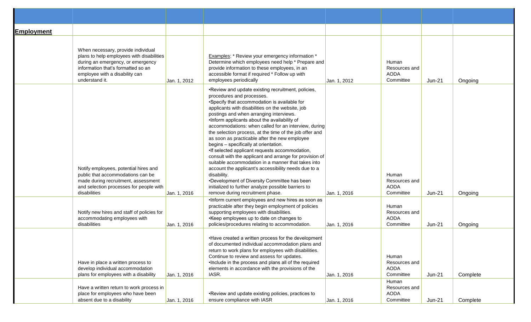| <b>Employment</b> | When necessary, provide individual<br>plans to help employees with disabilities<br>during an emergency, or emergency<br>information that's formatted so an<br>employee with a disability can<br>understand it. | Jan. 1, 2012 | <b>Examples:</b> * Review your emergency information *<br>Determine which employees need help * Prepare and<br>provide information to these employees, in an<br>accessible format if required * Follow up with<br>employees periodically                                                                                                                                                                                                                                                                                                                                                                                                                                                                                                                                                                                                                                           | Jan. 1, 2012 | Human<br>Resources and<br>AODA<br>Committee        | $Jun-21$ | Ongoing  |
|-------------------|----------------------------------------------------------------------------------------------------------------------------------------------------------------------------------------------------------------|--------------|------------------------------------------------------------------------------------------------------------------------------------------------------------------------------------------------------------------------------------------------------------------------------------------------------------------------------------------------------------------------------------------------------------------------------------------------------------------------------------------------------------------------------------------------------------------------------------------------------------------------------------------------------------------------------------------------------------------------------------------------------------------------------------------------------------------------------------------------------------------------------------|--------------|----------------------------------------------------|----------|----------|
|                   | Notify employees, potential hires and<br>public that accommodations can be<br>made during recruitment, assessment<br>and selection processes for people with<br>disabilities                                   | Jan. 1, 2016 | . Review and update existing recruitment, policies,<br>procedures and processes.<br>•Specify that accommodation is available for<br>applicants with disabilities on the website, job<br>postings and when arranging interviews.<br>. Inform applicants about the availability of<br>accommodations: when called for an interview, during<br>the selection process, at the time of the job offer and<br>as soon as practicable after the new employee<br>begins - specifically at orientation.<br>•If selected applicant requests accommodation,<br>consult with the applicant and arrange for provision of<br>suitable accommodation in a manner that takes into<br>account the applicant's accessibility needs due to a<br>disability.<br>•Development of Diversity Committee has been<br>initialized to further analyze possible barriers to<br>remove during recruitment phase. | Jan. 1, 2016 | Human<br>Resources and<br><b>AODA</b><br>Committee | $Jun-21$ | Ongoing  |
|                   | Notify new hires and staff of policies for<br>accommodating employees with<br>disabilities                                                                                                                     | Jan. 1, 2016 | . Inform current employees and new hires as soon as<br>practicable after they begin employment of policies<br>supporting employees with disabilities.<br>• Keep employees up to date on changes to<br>policies/procedures relating to accommodation.                                                                                                                                                                                                                                                                                                                                                                                                                                                                                                                                                                                                                               | Jan. 1, 2016 | Human<br>Resources and<br>AODA<br>Committee        | $Jun-21$ | Ongoing  |
|                   | Have in place a written process to<br>develop individual accommodation<br>plans for employees with a disability                                                                                                | Jan. 1, 2016 | • Have created a written process for the development<br>of documented individual accommodation plans and<br>return to work plans for employees with disabilities.<br>Continue to review and assess for updates.<br>. Include in the process and plans all of the required<br>elements in accordance with the provisions of the<br>IASR.                                                                                                                                                                                                                                                                                                                                                                                                                                                                                                                                            | Jan. 1, 2016 | Human<br>Resources and<br><b>AODA</b><br>Committee | $Jun-21$ | Complete |
|                   | Have a written return to work process in<br>place for employees who have been<br>absent due to a disability                                                                                                    | Jan. 1, 2016 | • Review and update existing policies, practices to<br>ensure compliance with IASR                                                                                                                                                                                                                                                                                                                                                                                                                                                                                                                                                                                                                                                                                                                                                                                                 | Jan. 1, 2016 | Human<br>Resources and<br>AODA<br>Committee        | $Jun-21$ | Complete |